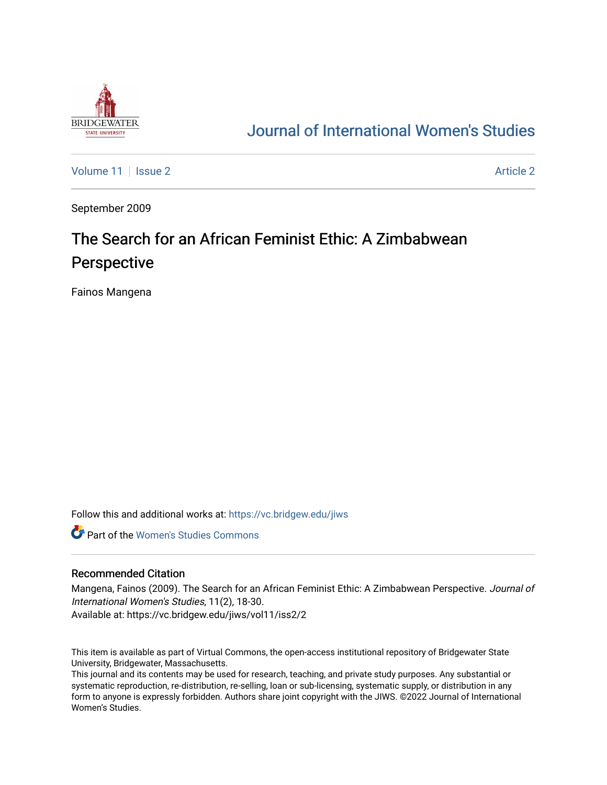

## [Journal of International Women's Studies](https://vc.bridgew.edu/jiws)

[Volume 11](https://vc.bridgew.edu/jiws/vol11) | [Issue 2](https://vc.bridgew.edu/jiws/vol11/iss2) Article 2

September 2009

# The Search for an African Feminist Ethic: A Zimbabwean Perspective

Fainos Mangena

Follow this and additional works at: [https://vc.bridgew.edu/jiws](https://vc.bridgew.edu/jiws?utm_source=vc.bridgew.edu%2Fjiws%2Fvol11%2Fiss2%2F2&utm_medium=PDF&utm_campaign=PDFCoverPages)

**C** Part of the Women's Studies Commons

#### Recommended Citation

Mangena, Fainos (2009). The Search for an African Feminist Ethic: A Zimbabwean Perspective. Journal of International Women's Studies, 11(2), 18-30.

Available at: https://vc.bridgew.edu/jiws/vol11/iss2/2

This item is available as part of Virtual Commons, the open-access institutional repository of Bridgewater State University, Bridgewater, Massachusetts.

This journal and its contents may be used for research, teaching, and private study purposes. Any substantial or systematic reproduction, re-distribution, re-selling, loan or sub-licensing, systematic supply, or distribution in any form to anyone is expressly forbidden. Authors share joint copyright with the JIWS. ©2022 Journal of International Women's Studies.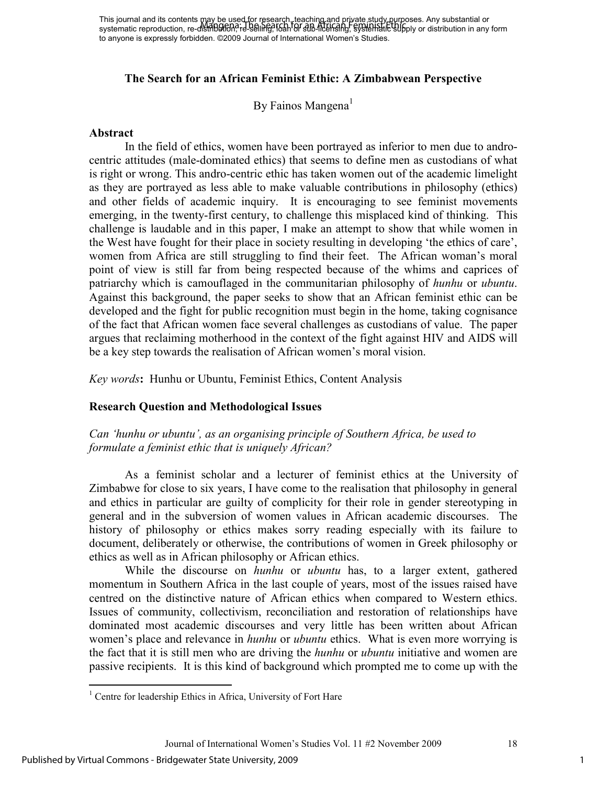## **The Search for an African Feminist Ethic: A Zimbabwean Perspective**

By Fainos Mangena<sup>1</sup>

#### **Abstract**

In the field of ethics, women have been portrayed as inferior to men due to androcentric attitudes (male-dominated ethics) that seems to define men as custodians of what is right or wrong. This andro-centric ethic has taken women out of the academic limelight as they are portrayed as less able to make valuable contributions in philosophy (ethics) and other fields of academic inquiry. It is encouraging to see feminist movements emerging, in the twenty-first century, to challenge this misplaced kind of thinking. This challenge is laudable and in this paper, I make an attempt to show that while women in the West have fought for their place in society resulting in developing 'the ethics of care', women from Africa are still struggling to find their feet. The African woman's moral point of view is still far from being respected because of the whims and caprices of patriarchy which is camouflaged in the communitarian philosophy of *hunhu* or *ubuntu*. Against this background, the paper seeks to show that an African feminist ethic can be developed and the fight for public recognition must begin in the home, taking cognisance of the fact that African women face several challenges as custodians of value. The paper argues that reclaiming motherhood in the context of the fight against HIV and AIDS will be a key step towards the realisation of African women's moral vision.

*Key words***:** Hunhu or Ubuntu, Feminist Ethics, Content Analysis

#### **Research Question and Methodological Issues**

*Can 'hunhu or ubuntu', as an organising principle of Southern Africa, be used to formulate a feminist ethic that is uniquely African?* 

As a feminist scholar and a lecturer of feminist ethics at the University of Zimbabwe for close to six years, I have come to the realisation that philosophy in general and ethics in particular are guilty of complicity for their role in gender stereotyping in general and in the subversion of women values in African academic discourses. The history of philosophy or ethics makes sorry reading especially with its failure to document, deliberately or otherwise, the contributions of women in Greek philosophy or ethics as well as in African philosophy or African ethics.

While the discourse on *hunhu* or *ubuntu* has, to a larger extent, gathered momentum in Southern Africa in the last couple of years, most of the issues raised have centred on the distinctive nature of African ethics when compared to Western ethics. Issues of community, collectivism, reconciliation and restoration of relationships have dominated most academic discourses and very little has been written about African women's place and relevance in *hunhu* or *ubuntu* ethics. What is even more worrying is the fact that it is still men who are driving the *hunhu* or *ubuntu* initiative and women are passive recipients. It is this kind of background which prompted me to come up with the

 1 Centre for leadership Ethics in Africa, University of Fort Hare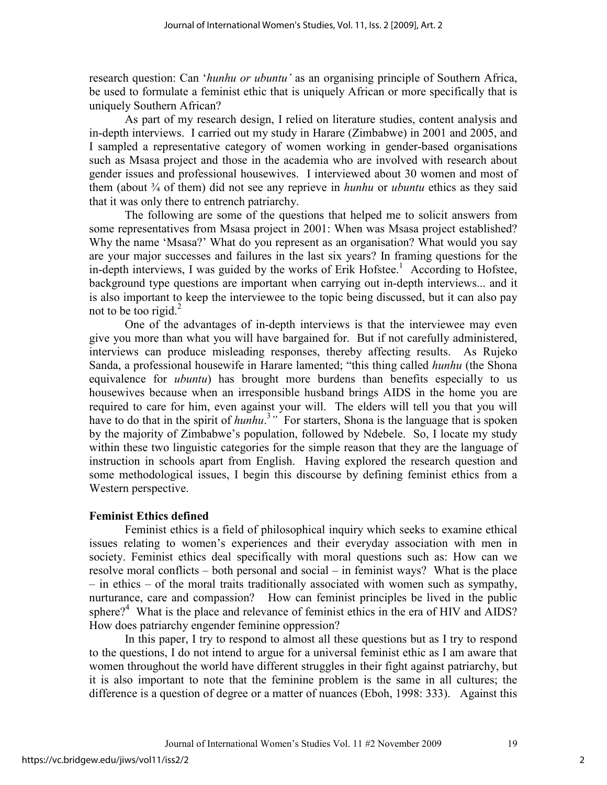research question: Can '*hunhu or ubuntu'* as an organising principle of Southern Africa, be used to formulate a feminist ethic that is uniquely African or more specifically that is uniquely Southern African?

As part of my research design, I relied on literature studies, content analysis and in-depth interviews. I carried out my study in Harare (Zimbabwe) in 2001 and 2005, and I sampled a representative category of women working in gender-based organisations such as Msasa project and those in the academia who are involved with research about gender issues and professional housewives. I interviewed about 30 women and most of them (about ¾ of them) did not see any reprieve in *hunhu* or *ubuntu* ethics as they said that it was only there to entrench patriarchy.

The following are some of the questions that helped me to solicit answers from some representatives from Msasa project in 2001: When was Msasa project established? Why the name 'Msasa?' What do you represent as an organisation? What would you say are your major successes and failures in the last six years? In framing questions for the in-depth interviews, I was guided by the works of Erik Hofstee.<sup>1</sup> According to Hofstee, background type questions are important when carrying out in-depth interviews... and it is also important to keep the interviewee to the topic being discussed, but it can also pay not to be too rigid. $2$ 

One of the advantages of in-depth interviews is that the interviewee may even give you more than what you will have bargained for. But if not carefully administered, interviews can produce misleading responses, thereby affecting results. As Rujeko Sanda, a professional housewife in Harare lamented; "this thing called *hunhu* (the Shona equivalence for *ubuntu*) has brought more burdens than benefits especially to us housewives because when an irresponsible husband brings AIDS in the home you are required to care for him, even against your will. The elders will tell you that you will have to do that in the spirit of *hunhu*<sup>3</sup>" For starters, Shona is the language that is spoken by the majority of Zimbabwe's population, followed by Ndebele. So, I locate my study within these two linguistic categories for the simple reason that they are the language of instruction in schools apart from English. Having explored the research question and some methodological issues, I begin this discourse by defining feminist ethics from a Western perspective.

#### **Feminist Ethics defined**

Feminist ethics is a field of philosophical inquiry which seeks to examine ethical issues relating to women's experiences and their everyday association with men in society. Feminist ethics deal specifically with moral questions such as: How can we resolve moral conflicts – both personal and social – in feminist ways? What is the place – in ethics – of the moral traits traditionally associated with women such as sympathy, nurturance, care and compassion? How can feminist principles be lived in the public sphere?<sup>4</sup> What is the place and relevance of feminist ethics in the era of HIV and AIDS? How does patriarchy engender feminine oppression?

In this paper, I try to respond to almost all these questions but as I try to respond to the questions, I do not intend to argue for a universal feminist ethic as I am aware that women throughout the world have different struggles in their fight against patriarchy, but it is also important to note that the feminine problem is the same in all cultures; the difference is a question of degree or a matter of nuances (Eboh, 1998: 333). Against this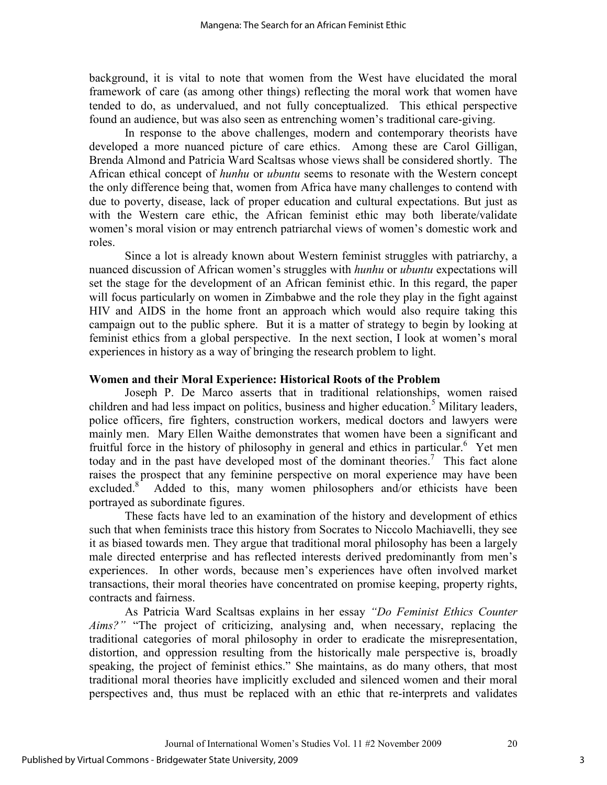background, it is vital to note that women from the West have elucidated the moral framework of care (as among other things) reflecting the moral work that women have tended to do, as undervalued, and not fully conceptualized. This ethical perspective found an audience, but was also seen as entrenching women's traditional care-giving.

In response to the above challenges, modern and contemporary theorists have developed a more nuanced picture of care ethics. Among these are Carol Gilligan, Brenda Almond and Patricia Ward Scaltsas whose views shall be considered shortly. The African ethical concept of *hunhu* or *ubuntu* seems to resonate with the Western concept the only difference being that, women from Africa have many challenges to contend with due to poverty, disease, lack of proper education and cultural expectations. But just as with the Western care ethic, the African feminist ethic may both liberate/validate women's moral vision or may entrench patriarchal views of women's domestic work and roles.

Since a lot is already known about Western feminist struggles with patriarchy, a nuanced discussion of African women's struggles with *hunhu* or *ubuntu* expectations will set the stage for the development of an African feminist ethic. In this regard, the paper will focus particularly on women in Zimbabwe and the role they play in the fight against HIV and AIDS in the home front an approach which would also require taking this campaign out to the public sphere. But it is a matter of strategy to begin by looking at feminist ethics from a global perspective. In the next section, I look at women's moral experiences in history as a way of bringing the research problem to light.

#### **Women and their Moral Experience: Historical Roots of the Problem**

Joseph P. De Marco asserts that in traditional relationships, women raised children and had less impact on politics, business and higher education.<sup>5</sup> Military leaders, police officers, fire fighters, construction workers, medical doctors and lawyers were mainly men. Mary Ellen Waithe demonstrates that women have been a significant and fruitful force in the history of philosophy in general and ethics in particular.<sup>6</sup> Yet men today and in the past have developed most of the dominant theories.<sup>7</sup> This fact alone raises the prospect that any feminine perspective on moral experience may have been excluded.<sup>8</sup> Added to this, many women philosophers and/or ethicists have been portrayed as subordinate figures.

These facts have led to an examination of the history and development of ethics such that when feminists trace this history from Socrates to Niccolo Machiavelli, they see it as biased towards men. They argue that traditional moral philosophy has been a largely male directed enterprise and has reflected interests derived predominantly from men's experiences. In other words, because men's experiences have often involved market transactions, their moral theories have concentrated on promise keeping, property rights, contracts and fairness.

As Patricia Ward Scaltsas explains in her essay *"Do Feminist Ethics Counter Aims?"* "The project of criticizing, analysing and, when necessary, replacing the traditional categories of moral philosophy in order to eradicate the misrepresentation, distortion, and oppression resulting from the historically male perspective is, broadly speaking, the project of feminist ethics." She maintains, as do many others, that most traditional moral theories have implicitly excluded and silenced women and their moral perspectives and, thus must be replaced with an ethic that re-interprets and validates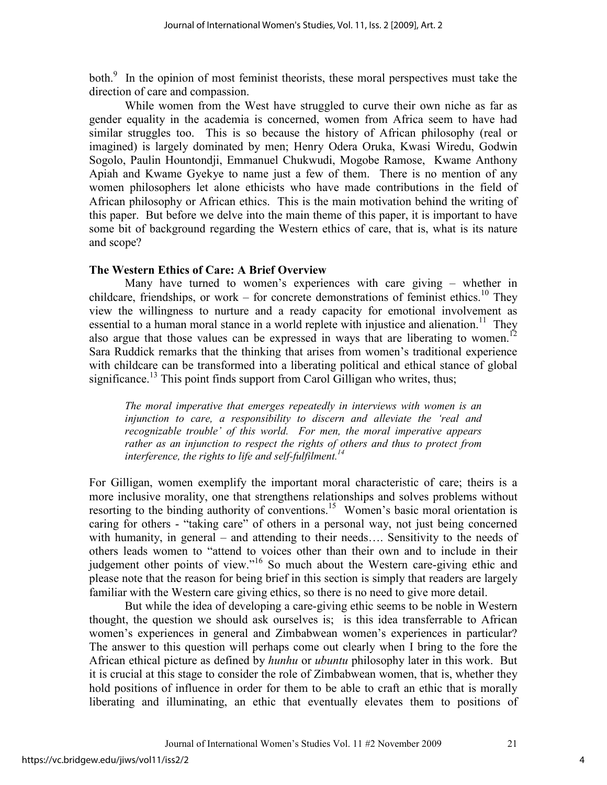both.<sup>9</sup> In the opinion of most feminist theorists, these moral perspectives must take the direction of care and compassion.

While women from the West have struggled to curve their own niche as far as gender equality in the academia is concerned, women from Africa seem to have had similar struggles too. This is so because the history of African philosophy (real or imagined) is largely dominated by men; Henry Odera Oruka, Kwasi Wiredu, Godwin Sogolo, Paulin Hountondji, Emmanuel Chukwudi, Mogobe Ramose, Kwame Anthony Apiah and Kwame Gyekye to name just a few of them. There is no mention of any women philosophers let alone ethicists who have made contributions in the field of African philosophy or African ethics. This is the main motivation behind the writing of this paper. But before we delve into the main theme of this paper, it is important to have some bit of background regarding the Western ethics of care, that is, what is its nature and scope?

### **The Western Ethics of Care: A Brief Overview**

Many have turned to women's experiences with care giving – whether in childcare, friendships, or work – for concrete demonstrations of feminist ethics.<sup>10</sup> They view the willingness to nurture and a ready capacity for emotional involvement as essential to a human moral stance in a world replete with injustice and alienation.<sup>11</sup> They also argue that those values can be expressed in ways that are liberating to women.<sup>12</sup> Sara Ruddick remarks that the thinking that arises from women's traditional experience with childcare can be transformed into a liberating political and ethical stance of global significance.<sup>13</sup> This point finds support from Carol Gilligan who writes, thus;

*The moral imperative that emerges repeatedly in interviews with women is an injunction to care, a responsibility to discern and alleviate the 'real and recognizable trouble' of this world. For men, the moral imperative appears rather as an injunction to respect the rights of others and thus to protect from interference, the rights to life and self-fulfilment.<sup>14</sup>* 

For Gilligan, women exemplify the important moral characteristic of care; theirs is a more inclusive morality, one that strengthens relationships and solves problems without resorting to the binding authority of conventions.<sup>15</sup> Women's basic moral orientation is caring for others - "taking care" of others in a personal way, not just being concerned with humanity, in general – and attending to their needs.... Sensitivity to the needs of others leads women to "attend to voices other than their own and to include in their judgement other points of view."<sup>16</sup> So much about the Western care-giving ethic and please note that the reason for being brief in this section is simply that readers are largely familiar with the Western care giving ethics, so there is no need to give more detail.

But while the idea of developing a care-giving ethic seems to be noble in Western thought, the question we should ask ourselves is; is this idea transferrable to African women's experiences in general and Zimbabwean women's experiences in particular? The answer to this question will perhaps come out clearly when I bring to the fore the African ethical picture as defined by *hunhu* or *ubuntu* philosophy later in this work. But it is crucial at this stage to consider the role of Zimbabwean women, that is, whether they hold positions of influence in order for them to be able to craft an ethic that is morally liberating and illuminating, an ethic that eventually elevates them to positions of

Journal of International Women's Studies Vol. 11 #2 November 2009 21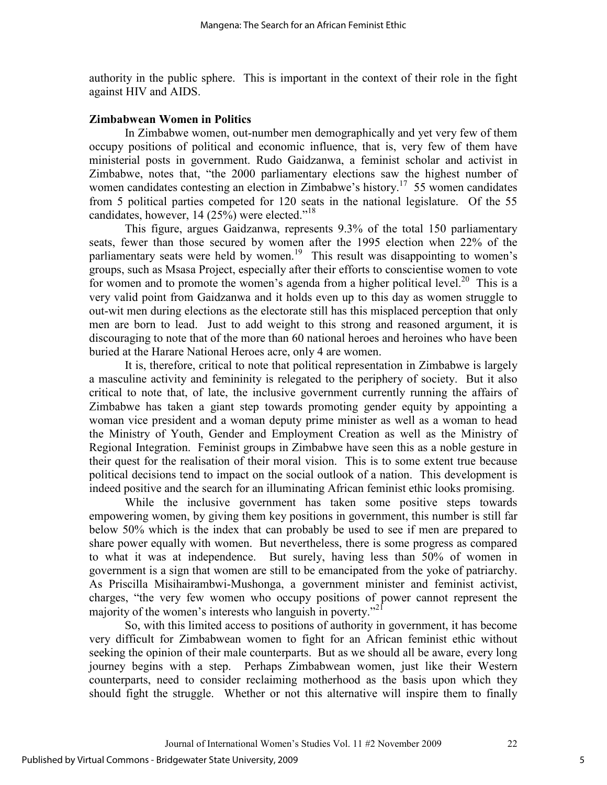authority in the public sphere. This is important in the context of their role in the fight against HIV and AIDS.

#### **Zimbabwean Women in Politics**

In Zimbabwe women, out-number men demographically and yet very few of them occupy positions of political and economic influence, that is, very few of them have ministerial posts in government. Rudo Gaidzanwa, a feminist scholar and activist in Zimbabwe, notes that, "the 2000 parliamentary elections saw the highest number of women candidates contesting an election in Zimbabwe's history.<sup>17</sup> 55 women candidates from 5 political parties competed for 120 seats in the national legislature. Of the 55 candidates, however, 14 (25%) were elected."<sup>18</sup>

This figure, argues Gaidzanwa, represents 9.3% of the total 150 parliamentary seats, fewer than those secured by women after the 1995 election when 22% of the parliamentary seats were held by women.<sup>19</sup> This result was disappointing to women's groups, such as Msasa Project, especially after their efforts to conscientise women to vote for women and to promote the women's agenda from a higher political level.<sup>20</sup> This is a very valid point from Gaidzanwa and it holds even up to this day as women struggle to out-wit men during elections as the electorate still has this misplaced perception that only men are born to lead. Just to add weight to this strong and reasoned argument, it is discouraging to note that of the more than 60 national heroes and heroines who have been buried at the Harare National Heroes acre, only 4 are women.

It is, therefore, critical to note that political representation in Zimbabwe is largely a masculine activity and femininity is relegated to the periphery of society. But it also critical to note that, of late, the inclusive government currently running the affairs of Zimbabwe has taken a giant step towards promoting gender equity by appointing a woman vice president and a woman deputy prime minister as well as a woman to head the Ministry of Youth, Gender and Employment Creation as well as the Ministry of Regional Integration. Feminist groups in Zimbabwe have seen this as a noble gesture in their quest for the realisation of their moral vision. This is to some extent true because political decisions tend to impact on the social outlook of a nation. This development is indeed positive and the search for an illuminating African feminist ethic looks promising.

While the inclusive government has taken some positive steps towards empowering women, by giving them key positions in government, this number is still far below 50% which is the index that can probably be used to see if men are prepared to share power equally with women. But nevertheless, there is some progress as compared to what it was at independence. But surely, having less than 50% of women in government is a sign that women are still to be emancipated from the yoke of patriarchy. As Priscilla Misihairambwi-Mushonga, a government minister and feminist activist, charges, "the very few women who occupy positions of power cannot represent the majority of the women's interests who languish in poverty."<sup>21</sup>

So, with this limited access to positions of authority in government, it has become very difficult for Zimbabwean women to fight for an African feminist ethic without seeking the opinion of their male counterparts. But as we should all be aware, every long journey begins with a step. Perhaps Zimbabwean women, just like their Western counterparts, need to consider reclaiming motherhood as the basis upon which they should fight the struggle. Whether or not this alternative will inspire them to finally

5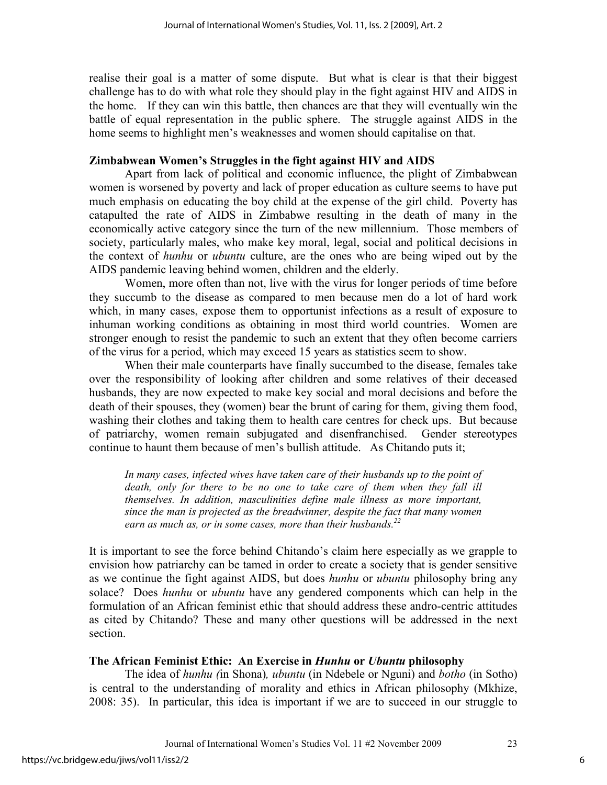realise their goal is a matter of some dispute. But what is clear is that their biggest challenge has to do with what role they should play in the fight against HIV and AIDS in the home. If they can win this battle, then chances are that they will eventually win the battle of equal representation in the public sphere. The struggle against AIDS in the home seems to highlight men's weaknesses and women should capitalise on that.

#### **Zimbabwean Women's Struggles in the fight against HIV and AIDS**

Apart from lack of political and economic influence, the plight of Zimbabwean women is worsened by poverty and lack of proper education as culture seems to have put much emphasis on educating the boy child at the expense of the girl child. Poverty has catapulted the rate of AIDS in Zimbabwe resulting in the death of many in the economically active category since the turn of the new millennium. Those members of society, particularly males, who make key moral, legal, social and political decisions in the context of *hunhu* or *ubuntu* culture, are the ones who are being wiped out by the AIDS pandemic leaving behind women, children and the elderly.

Women, more often than not, live with the virus for longer periods of time before they succumb to the disease as compared to men because men do a lot of hard work which, in many cases, expose them to opportunist infections as a result of exposure to inhuman working conditions as obtaining in most third world countries. Women are stronger enough to resist the pandemic to such an extent that they often become carriers of the virus for a period, which may exceed 15 years as statistics seem to show.

When their male counterparts have finally succumbed to the disease, females take over the responsibility of looking after children and some relatives of their deceased husbands, they are now expected to make key social and moral decisions and before the death of their spouses, they (women) bear the brunt of caring for them, giving them food, washing their clothes and taking them to health care centres for check ups. But because of patriarchy, women remain subjugated and disenfranchised. Gender stereotypes continue to haunt them because of men's bullish attitude. As Chitando puts it;

*In many cases, infected wives have taken care of their husbands up to the point of death, only for there to be no one to take care of them when they fall ill themselves. In addition, masculinities define male illness as more important, since the man is projected as the breadwinner, despite the fact that many women earn as much as, or in some cases, more than their husbands.<sup>22</sup>*

It is important to see the force behind Chitando's claim here especially as we grapple to envision how patriarchy can be tamed in order to create a society that is gender sensitive as we continue the fight against AIDS, but does *hunhu* or *ubuntu* philosophy bring any solace? Does *hunhu* or *ubuntu* have any gendered components which can help in the formulation of an African feminist ethic that should address these andro-centric attitudes as cited by Chitando? These and many other questions will be addressed in the next section.

## **The African Feminist Ethic: An Exercise in** *Hunhu* **or** *Ubuntu* **philosophy**

The idea of *hunhu (*in Shona)*, ubuntu* (in Ndebele or Nguni) and *botho* (in Sotho) is central to the understanding of morality and ethics in African philosophy (Mkhize, 2008: 35). In particular, this idea is important if we are to succeed in our struggle to

6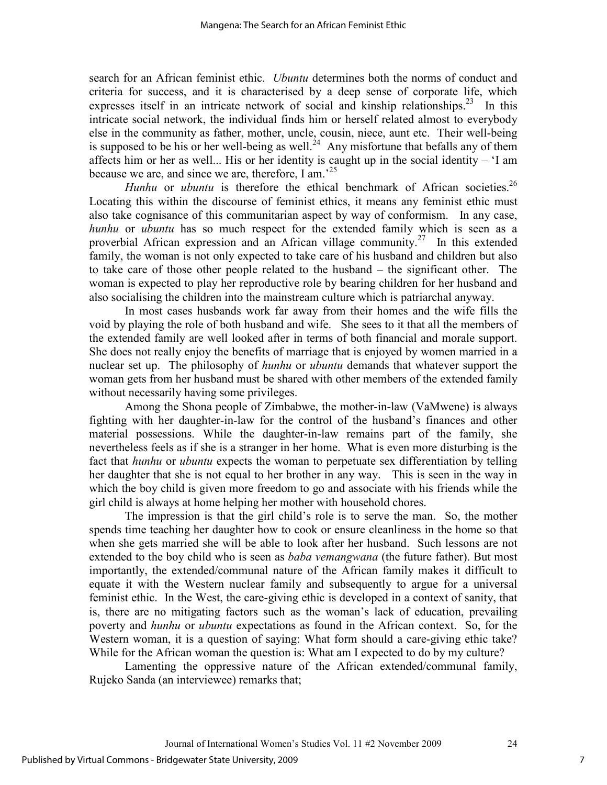search for an African feminist ethic. *Ubuntu* determines both the norms of conduct and criteria for success, and it is characterised by a deep sense of corporate life, which expresses itself in an intricate network of social and kinship relationships.<sup>23</sup> In this intricate social network, the individual finds him or herself related almost to everybody else in the community as father, mother, uncle, cousin, niece, aunt etc. Their well-being is supposed to be his or her well-being as well.<sup>24</sup> Any misfortune that befalls any of them affects him or her as well... His or her identity is caught up in the social identity –  $I$  am because we are, and since we are, therefore, I am.<sup>25</sup>

*Hunhu* or *ubuntu* is therefore the ethical benchmark of African societies.<sup>26</sup> Locating this within the discourse of feminist ethics, it means any feminist ethic must also take cognisance of this communitarian aspect by way of conformism. In any case, *hunhu* or *ubuntu* has so much respect for the extended family which is seen as a proverbial African expression and an African village community.<sup>27</sup> In this extended family, the woman is not only expected to take care of his husband and children but also to take care of those other people related to the husband – the significant other. The woman is expected to play her reproductive role by bearing children for her husband and also socialising the children into the mainstream culture which is patriarchal anyway.

In most cases husbands work far away from their homes and the wife fills the void by playing the role of both husband and wife. She sees to it that all the members of the extended family are well looked after in terms of both financial and morale support. She does not really enjoy the benefits of marriage that is enjoyed by women married in a nuclear set up. The philosophy of *hunhu* or *ubuntu* demands that whatever support the woman gets from her husband must be shared with other members of the extended family without necessarily having some privileges.

Among the Shona people of Zimbabwe, the mother-in-law (VaMwene) is always fighting with her daughter-in-law for the control of the husband's finances and other material possessions. While the daughter-in-law remains part of the family, she nevertheless feels as if she is a stranger in her home. What is even more disturbing is the fact that *hunhu* or *ubuntu* expects the woman to perpetuate sex differentiation by telling her daughter that she is not equal to her brother in any way. This is seen in the way in which the boy child is given more freedom to go and associate with his friends while the girl child is always at home helping her mother with household chores.

The impression is that the girl child's role is to serve the man. So, the mother spends time teaching her daughter how to cook or ensure cleanliness in the home so that when she gets married she will be able to look after her husband. Such lessons are not extended to the boy child who is seen as *baba vemangwana* (the future father). But most importantly, the extended/communal nature of the African family makes it difficult to equate it with the Western nuclear family and subsequently to argue for a universal feminist ethic. In the West, the care-giving ethic is developed in a context of sanity, that is, there are no mitigating factors such as the woman's lack of education, prevailing poverty and *hunhu* or *ubuntu* expectations as found in the African context. So, for the Western woman, it is a question of saying: What form should a care-giving ethic take? While for the African woman the question is: What am I expected to do by my culture?

Lamenting the oppressive nature of the African extended/communal family, Rujeko Sanda (an interviewee) remarks that;

7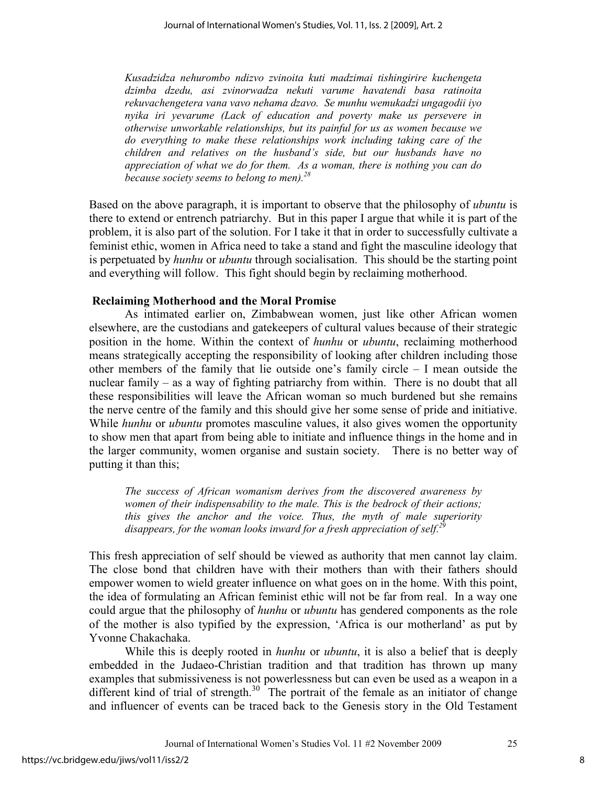*Kusadzidza nehurombo ndizvo zvinoita kuti madzimai tishingirire kuchengeta dzimba dzedu, asi zvinorwadza nekuti varume havatendi basa ratinoita rekuvachengetera vana vavo nehama dzavo. Se munhu wemukadzi ungagodii iyo nyika iri yevarume (Lack of education and poverty make us persevere in otherwise unworkable relationships, but its painful for us as women because we do everything to make these relationships work including taking care of the children and relatives on the husband's side, but our husbands have no appreciation of what we do for them. As a woman, there is nothing you can do because society seems to belong to men).<sup>28</sup>*

Based on the above paragraph, it is important to observe that the philosophy of *ubuntu* is there to extend or entrench patriarchy. But in this paper I argue that while it is part of the problem, it is also part of the solution. For I take it that in order to successfully cultivate a feminist ethic, women in Africa need to take a stand and fight the masculine ideology that is perpetuated by *hunhu* or *ubuntu* through socialisation. This should be the starting point and everything will follow. This fight should begin by reclaiming motherhood.

### **Reclaiming Motherhood and the Moral Promise**

As intimated earlier on, Zimbabwean women, just like other African women elsewhere, are the custodians and gatekeepers of cultural values because of their strategic position in the home. Within the context of *hunhu* or *ubuntu*, reclaiming motherhood means strategically accepting the responsibility of looking after children including those other members of the family that lie outside one's family circle – I mean outside the nuclear family – as a way of fighting patriarchy from within. There is no doubt that all these responsibilities will leave the African woman so much burdened but she remains the nerve centre of the family and this should give her some sense of pride and initiative. While *hunhu* or *ubuntu* promotes masculine values, it also gives women the opportunity to show men that apart from being able to initiate and influence things in the home and in the larger community, women organise and sustain society. There is no better way of putting it than this;

*The success of African womanism derives from the discovered awareness by women of their indispensability to the male. This is the bedrock of their actions; this gives the anchor and the voice. Thus, the myth of male superiority disappears, for the woman looks inward for a fresh appreciation of self.<sup>29</sup>*

This fresh appreciation of self should be viewed as authority that men cannot lay claim. The close bond that children have with their mothers than with their fathers should empower women to wield greater influence on what goes on in the home. With this point, the idea of formulating an African feminist ethic will not be far from real. In a way one could argue that the philosophy of *hunhu* or *ubuntu* has gendered components as the role of the mother is also typified by the expression, 'Africa is our motherland' as put by Yvonne Chakachaka.

While this is deeply rooted in *hunhu* or *ubuntu*, it is also a belief that is deeply embedded in the Judaeo-Christian tradition and that tradition has thrown up many examples that submissiveness is not powerlessness but can even be used as a weapon in a different kind of trial of strength. $30$  The portrait of the female as an initiator of change and influencer of events can be traced back to the Genesis story in the Old Testament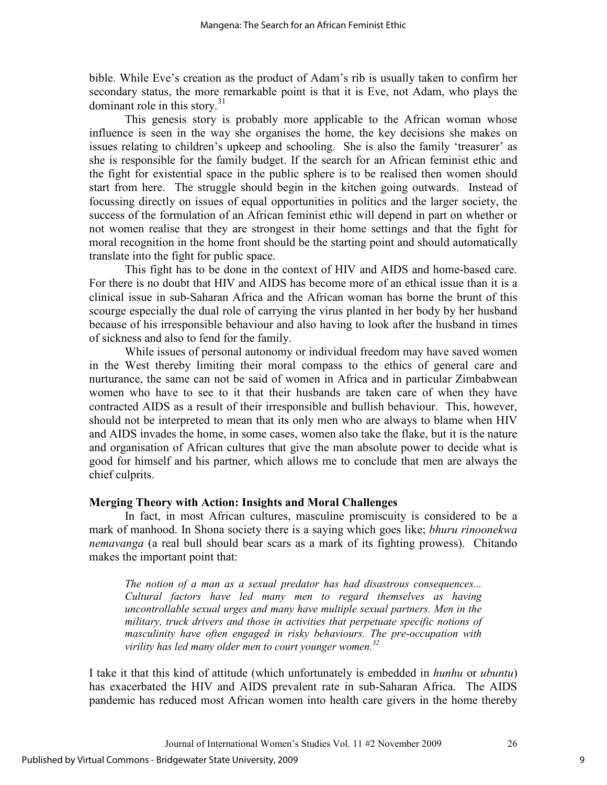bible. While Eve's creation as the product of Adam's rib is usually taken to confirm her secondary status, the more remarkable point is that it is Eve, not Adam, who plays the dominant role in this story.<sup>31</sup>

This genesis story is probably more applicable to the African woman whose influence is seen in the way she organises the home, the key decisions she makes on issues relating to children's upkeep and schooling. She is also the family 'treasurer' as she is responsible for the family budget. If the search for an African feminist ethic and the fight for existential space in the public sphere is to be realised then women should start from here. The struggle should begin in the kitchen going outwards. Instead of focussing directly on issues of equal opportunities in politics and the larger society, the success of the formulation of an African feminist ethic will depend in part on whether or not women realise that they are strongest in their home settings and that the fight for moral recognition in the home front should be the starting point and should automatically translate into the fight for public space.

This fight has to be done in the context of HIV and AIDS and home-based care. For there is no doubt that HIV and AIDS has become more of an ethical issue than it is a clinical issue in sub-Saharan Africa and the African woman has borne the brunt of this scourge especially the dual role of carrying the virus planted in her body by her husband because of his irresponsible behaviour and also having to look after the husband in times of sickness and also to fend for the family.

While issues of personal autonomy or individual freedom may have saved women in the West thereby limiting their moral compass to the ethics of general care and nurturance, the same can not be said of women in Africa and in particular Zimbabwean women who have to see to it that their husbands are taken care of when they have contracted AIDS as a result of their irresponsible and bullish behaviour. This, however, should not be interpreted to mean that its only men who are always to blame when HIV and AIDS invades the home, in some cases, women also take the flake, but it is the nature and organisation of African cultures that give the man absolute power to decide what is good for himself and his partner, which allows me to conclude that men are always the chief culprits.

#### **Merging Theory with Action: Insights and Moral Challenges**

In fact, in most African cultures, masculine promiscuity is considered to be a mark of manhood. In Shona society there is a saying which goes like; *bhuru rinoonekwa nemavanga* (a real bull should bear scars as a mark of its fighting prowess). Chitando makes the important point that:

*The notion of a man as a sexual predator has had disastrous consequences... Cultural factors have led many men to regard themselves as having uncontrollable sexual urges and many have multiple sexual partners. Men in the military, truck drivers and those in activities that perpetuate specific notions of masculinity have often engaged in risky behaviours. The pre-occupation with virility has led many older men to court younger women.<sup>32</sup>*

I take it that this kind of attitude (which unfortunately is embedded in *hunhu* or *ubuntu*) has exacerbated the HIV and AIDS prevalent rate in sub-Saharan Africa. The AIDS pandemic has reduced most African women into health care givers in the home thereby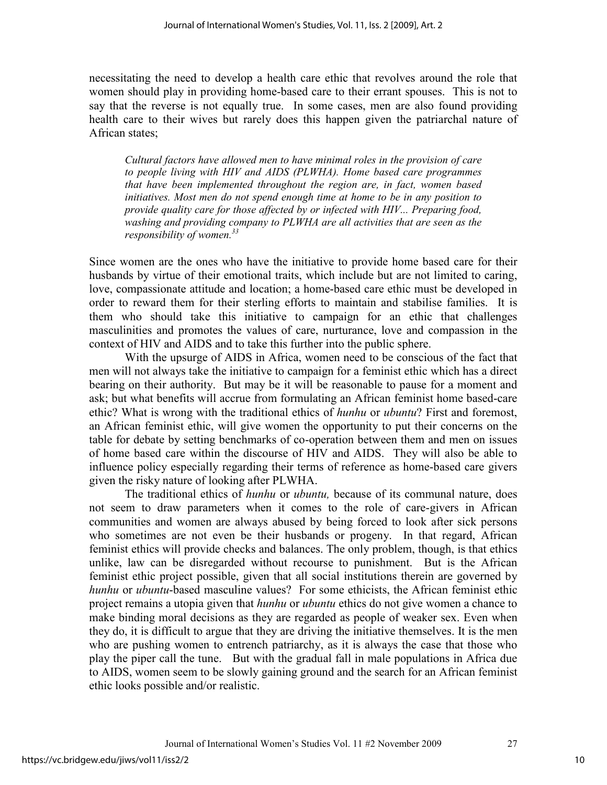necessitating the need to develop a health care ethic that revolves around the role that women should play in providing home-based care to their errant spouses. This is not to say that the reverse is not equally true. In some cases, men are also found providing health care to their wives but rarely does this happen given the patriarchal nature of African states;

*Cultural factors have allowed men to have minimal roles in the provision of care to people living with HIV and AIDS (PLWHA). Home based care programmes that have been implemented throughout the region are, in fact, women based initiatives. Most men do not spend enough time at home to be in any position to provide quality care for those affected by or infected with HIV... Preparing food, washing and providing company to PLWHA are all activities that are seen as the responsibility of women.<sup>33</sup>* 

Since women are the ones who have the initiative to provide home based care for their husbands by virtue of their emotional traits, which include but are not limited to caring, love, compassionate attitude and location; a home-based care ethic must be developed in order to reward them for their sterling efforts to maintain and stabilise families. It is them who should take this initiative to campaign for an ethic that challenges masculinities and promotes the values of care, nurturance, love and compassion in the context of HIV and AIDS and to take this further into the public sphere.

With the upsurge of AIDS in Africa, women need to be conscious of the fact that men will not always take the initiative to campaign for a feminist ethic which has a direct bearing on their authority. But may be it will be reasonable to pause for a moment and ask; but what benefits will accrue from formulating an African feminist home based-care ethic? What is wrong with the traditional ethics of *hunhu* or *ubuntu*? First and foremost, an African feminist ethic, will give women the opportunity to put their concerns on the table for debate by setting benchmarks of co-operation between them and men on issues of home based care within the discourse of HIV and AIDS. They will also be able to influence policy especially regarding their terms of reference as home-based care givers given the risky nature of looking after PLWHA.

The traditional ethics of *hunhu* or *ubuntu,* because of its communal nature, does not seem to draw parameters when it comes to the role of care-givers in African communities and women are always abused by being forced to look after sick persons who sometimes are not even be their husbands or progeny. In that regard, African feminist ethics will provide checks and balances. The only problem, though, is that ethics unlike, law can be disregarded without recourse to punishment. But is the African feminist ethic project possible, given that all social institutions therein are governed by *hunhu* or *ubuntu*-based masculine values? For some ethicists, the African feminist ethic project remains a utopia given that *hunhu* or *ubuntu* ethics do not give women a chance to make binding moral decisions as they are regarded as people of weaker sex. Even when they do, it is difficult to argue that they are driving the initiative themselves. It is the men who are pushing women to entrench patriarchy, as it is always the case that those who play the piper call the tune. But with the gradual fall in male populations in Africa due to AIDS, women seem to be slowly gaining ground and the search for an African feminist ethic looks possible and/or realistic.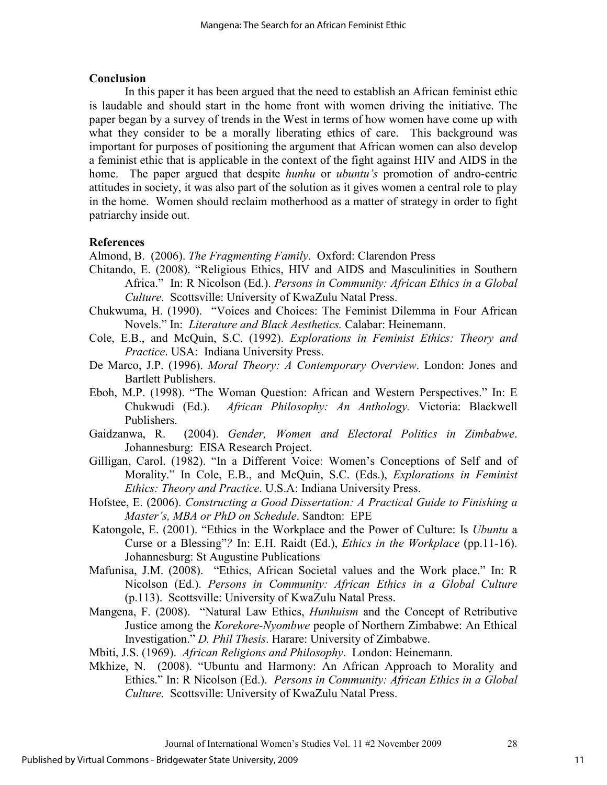### **Conclusion**

In this paper it has been argued that the need to establish an African feminist ethic is laudable and should start in the home front with women driving the initiative. The paper began by a survey of trends in the West in terms of how women have come up with what they consider to be a morally liberating ethics of care. This background was important for purposes of positioning the argument that African women can also develop a feminist ethic that is applicable in the context of the fight against HIV and AIDS in the home. The paper argued that despite *hunhu* or *ubuntu's* promotion of andro-centric attitudes in society, it was also part of the solution as it gives women a central role to play in the home. Women should reclaim motherhood as a matter of strategy in order to fight patriarchy inside out.

## **References**

Almond, B. (2006). *The Fragmenting Family*. Oxford: Clarendon Press

- Chitando, E. (2008). "Religious Ethics, HIV and AIDS and Masculinities in Southern Africa." In: R Nicolson (Ed.). *Persons in Community: African Ethics in a Global Culture*. Scottsville: University of KwaZulu Natal Press.
- Chukwuma, H. (1990). "Voices and Choices: The Feminist Dilemma in Four African Novels." In: *Literature and Black Aesthetics.* Calabar: Heinemann.
- Cole, E.B., and McQuin, S.C. (1992). *Explorations in Feminist Ethics: Theory and Practice*. USA: Indiana University Press.
- De Marco, J.P. (1996). *Moral Theory: A Contemporary Overview*. London: Jones and Bartlett Publishers.
- Eboh, M.P. (1998). "The Woman Question: African and Western Perspectives." In: E Chukwudi (Ed.). *African Philosophy: An Anthology.* Victoria: Blackwell Publishers.
- Gaidzanwa, R. (2004). *Gender, Women and Electoral Politics in Zimbabwe*. Johannesburg: EISA Research Project.
- Gilligan, Carol. (1982). "In a Different Voice: Women's Conceptions of Self and of Morality." In Cole, E.B., and McQuin, S.C. (Eds.), *Explorations in Feminist Ethics: Theory and Practice*. U.S.A: Indiana University Press.
- Hofstee, E. (2006). *Constructing a Good Dissertation: A Practical Guide to Finishing a Master's, MBA or PhD on Schedule*. Sandton: EPE
- Katongole, E. (2001). "Ethics in the Workplace and the Power of Culture: Is *Ubuntu* a Curse or a Blessing"*?* In: E.H. Raidt (Ed.), *Ethics in the Workplace* (pp.11-16). Johannesburg: St Augustine Publications
- Mafunisa, J.M. (2008). "Ethics, African Societal values and the Work place." In: R Nicolson (Ed.). *Persons in Community: African Ethics in a Global Culture*  (p.113). Scottsville: University of KwaZulu Natal Press.
- Mangena, F. (2008). "Natural Law Ethics, *Hunhuism* and the Concept of Retributive Justice among the *Korekore-Nyombwe* people of Northern Zimbabwe: An Ethical Investigation." *D. Phil Thesis*. Harare: University of Zimbabwe.
- Mbiti, J.S. (1969). *African Religions and Philosophy*. London: Heinemann.
- Mkhize, N. (2008). "Ubuntu and Harmony: An African Approach to Morality and Ethics." In: R Nicolson (Ed.). *Persons in Community: African Ethics in a Global Culture*. Scottsville: University of KwaZulu Natal Press.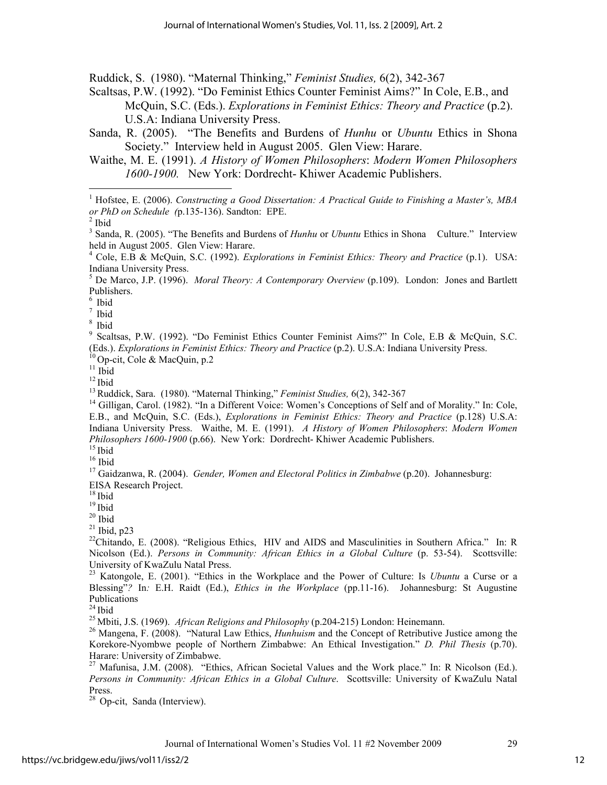Ruddick, S. (1980). "Maternal Thinking," *Feminist Studies,* 6(2), 342-367

Scaltsas, P.W. (1992). "Do Feminist Ethics Counter Feminist Aims?" In Cole, E.B., and McQuin, S.C. (Eds.). *Explorations in Feminist Ethics: Theory and Practice* (p.2). U.S.A: Indiana University Press.

- Sanda, R. (2005). "The Benefits and Burdens of *Hunhu* or *Ubuntu* Ethics in Shona Society." Interview held in August 2005. Glen View: Harare.
- Waithe, M. E. (1991). *A History of Women Philosophers*: *Modern Women Philosophers 1600-1900.* New York: Dordrecht- Khiwer Academic Publishers.

<u>.</u>

 $6$  Ibid

 $^7$  Ibid

9 Scaltsas, P.W. (1992). "Do Feminist Ethics Counter Feminist Aims?" In Cole, E.B & McQuin, S.C. (Eds.). *Explorations in Feminist Ethics: Theory and Practice* (p.2). U.S.A: Indiana University Press.

 $10^{\circ}$ Op-cit, Cole & MacQuin, p.2

<sup>13</sup>Ruddick, Sara. (1980). "Maternal Thinking," *Feminist Studies,* 6(2), 342-367

<sup>14</sup> Gilligan, Carol. (1982). "In a Different Voice: Women's Conceptions of Self and of Morality." In: Cole, E.B., and McQuin, S.C. (Eds.), *Explorations in Feminist Ethics: Theory and Practice* (p.128) U.S.A: Indiana University Press. Waithe, M. E. (1991). *A History of Women Philosophers*: *Modern Women Philosophers 1600-1900* (p.66). New York: Dordrecht- Khiwer Academic Publishers.

 $15$  Ibid

 $16$  Ibid

<sup>17</sup> Gaidzanwa, R. (2004). *Gender, Women and Electoral Politics in Zimbabwe* (p.20). Johannesburg: EISA Research Project.

 $18$  Ibid

 $19$  Ibid

 $20$  Ibid

 $21$  Ibid, p23

<sup>22</sup>Chitando, E. (2008). "Religious Ethics, HIV and AIDS and Masculinities in Southern Africa." In: R Nicolson (Ed.). *Persons in Community: African Ethics in a Global Culture* (p. 53-54). Scottsville: University of KwaZulu Natal Press.

<sup>23</sup> Katongole, E. (2001). "Ethics in the Workplace and the Power of Culture: Is *Ubuntu* a Curse or a Blessing"*?* In*:* E.H. Raidt (Ed.), *Ethics in the Workplace* (pp.11-16). Johannesburg: St Augustine Publications

 $24$  Ibid

<sup>25</sup>Mbiti, J.S. (1969). *African Religions and Philosophy* (p.204-215) London: Heinemann.

<sup>26</sup> Mangena, F. (2008). "Natural Law Ethics, *Hunhuism* and the Concept of Retributive Justice among the Korekore-Nyombwe people of Northern Zimbabwe: An Ethical Investigation." *D. Phil Thesis* (p.70). Harare: University of Zimbabwe.

<sup>27</sup> Mafunisa, J.M. (2008). "Ethics, African Societal Values and the Work place." In: R Nicolson (Ed.). *Persons in Community: African Ethics in a Global Culture*. Scottsville: University of KwaZulu Natal Press.

<sup>28</sup> Op-cit, Sanda (Interview).

<sup>&</sup>lt;sup>1</sup> Hofstee, E. (2006). *Constructing a Good Dissertation: A Practical Guide to Finishing a Master's, MBA or PhD on Schedule (*p.135-136). Sandton: EPE.

 $<sup>2</sup>$  Ibid</sup>

<sup>&</sup>lt;sup>3</sup> Sanda, R. (2005). "The Benefits and Burdens of *Hunhu* or *Ubuntu* Ethics in Shona Culture." Interview held in August 2005. Glen View: Harare.

<sup>4</sup> Cole, E.B & McQuin, S.C. (1992). *Explorations in Feminist Ethics: Theory and Practice* (p.1). USA: Indiana University Press.

<sup>5</sup> De Marco, J.P. (1996). *Moral Theory: A Contemporary Overview* (p.109). London: Jones and Bartlett Publishers.

<sup>&</sup>lt;sup>8</sup> Ibid

 $11$  Ibid  $12$  Ibid